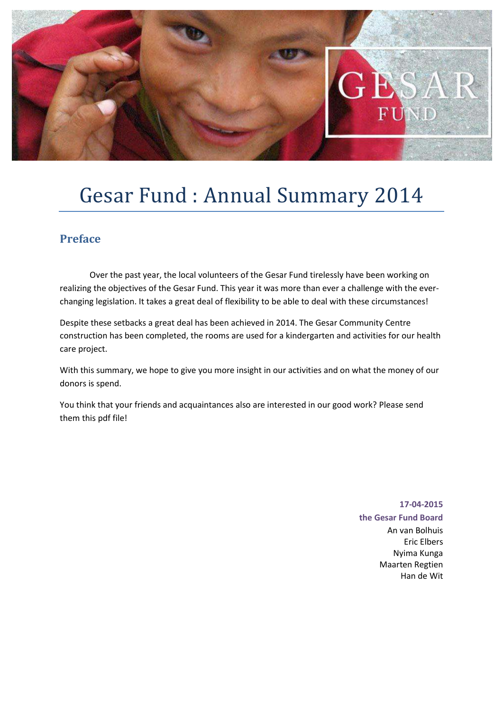

# Gesar Fund : Annual Summary 2014

## **Preface**

 Over the past year, the local volunteers of the Gesar Fund tirelessly have been working on realizing the objectives of the Gesar Fund. This year it was more than ever a challenge with the everchanging legislation. It takes a great deal of flexibility to be able to deal with these circumstances!

Despite these setbacks a great deal has been achieved in 2014. The Gesar Community Centre construction has been completed, the rooms are used for a kindergarten and activities for our health care project.

With this summary, we hope to give you more insight in our activities and on what the money of our donors is spend.

You think that your friends and acquaintances also are interested in our good work? Please send them this pdf file!

**17-04-2015** 

**the Gesar Fund Board** An van Bolhuis Eric Elbers Nyima Kunga Maarten Regtien Han de Wit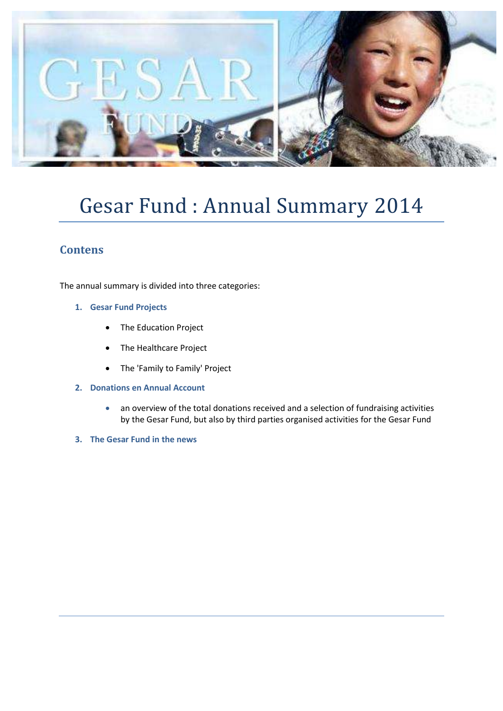

# Gesar Fund : Annual Summary 2014

## **Contens**

The annual summary is divided into three categories:

- **1. Gesar Fund Projects** 
	- The Education Project
	- The Healthcare Project
	- The 'Family to Family' Project
- **2. Donations en Annual Account** 
	- an overview of the total donations received and a selection of fundraising activities by the Gesar Fund, but also by third parties organised activities for the Gesar Fund
- **3. The Gesar Fund in the news**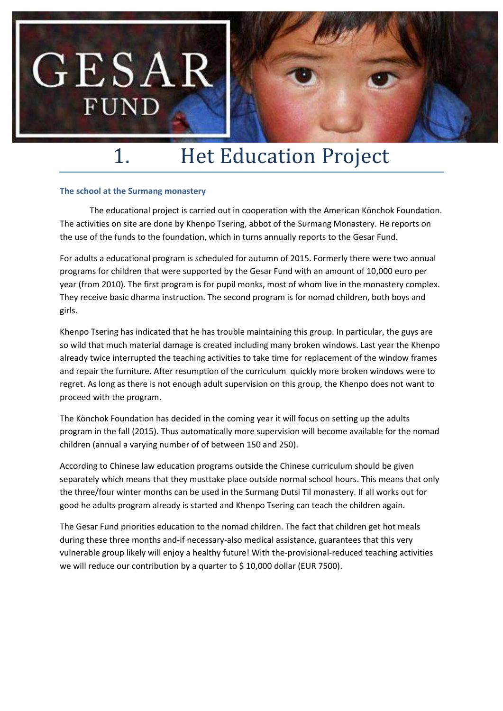

# 1. Het Education Project

### **The school at the Surmang monastery**

 The educational project is carried out in cooperation with the American Könchok Foundation. The activities on site are done by Khenpo Tsering, abbot of the Surmang Monastery. He reports on the use of the funds to the foundation, which in turns annually reports to the Gesar Fund.

For adults a educational program is scheduled for autumn of 2015. Formerly there were two annual programs for children that were supported by the Gesar Fund with an amount of 10,000 euro per year (from 2010). The first program is for pupil monks, most of whom live in the monastery complex. They receive basic dharma instruction. The second program is for nomad children, both boys and girls.

Khenpo Tsering has indicated that he has trouble maintaining this group. In particular, the guys are so wild that much material damage is created including many broken windows. Last year the Khenpo already twice interrupted the teaching activities to take time for replacement of the window frames and repair the furniture. After resumption of the curriculum quickly more broken windows were to regret. As long as there is not enough adult supervision on this group, the Khenpo does not want to proceed with the program.

The Könchok Foundation has decided in the coming year it will focus on setting up the adults program in the fall (2015). Thus automatically more supervision will become available for the nomad children (annual a varying number of of between 150 and 250).

According to Chinese law education programs outside the Chinese curriculum should be given separately which means that they musttake place outside normal school hours. This means that only the three/four winter months can be used in the Surmang Dutsi Til monastery. If all works out for good he adults program already is started and Khenpo Tsering can teach the children again.

The Gesar Fund priorities education to the nomad children. The fact that children get hot meals during these three months and-if necessary-also medical assistance, guarantees that this very vulnerable group likely will enjoy a healthy future! With the-provisional-reduced teaching activities we will reduce our contribution by a quarter to \$ 10,000 dollar (EUR 7500).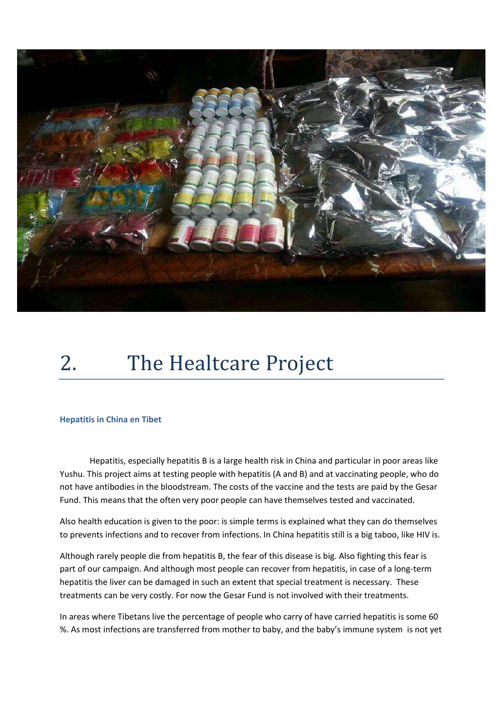

# 2. The Healtcare Project

#### **Hepatitis in China en Tibet**

 Hepatitis, especially hepatitis B is a large health risk in China and particular in poor areas like Yushu. This project aims at testing people with hepatitis (A and B) and at vaccinating people, who do not have antibodies in the bloodstream. The costs of the vaccine and the tests are paid by the Gesar Fund. This means that the often very poor people can have themselves tested and vaccinated.

Also health education is given to the poor: is simple terms is explained what they can do themselves to prevents infections and to recover from infections. In China hepatitis still is a big taboo, like HIV is.

Although rarely people die from hepatitis B, the fear of this disease is big. Also fighting this fear is part of our campaign. And although most people can recover from hepatitis, in case of a long-term hepatitis the liver can be damaged in such an extent that special treatment is necessary. These treatments can be very costly. For now the Gesar Fund is not involved with their treatments.

In areas where Tibetans live the percentage of people who carry of have carried hepatitis is some 60 %. As most infections are transferred from mother to baby, and the baby's immune system is not yet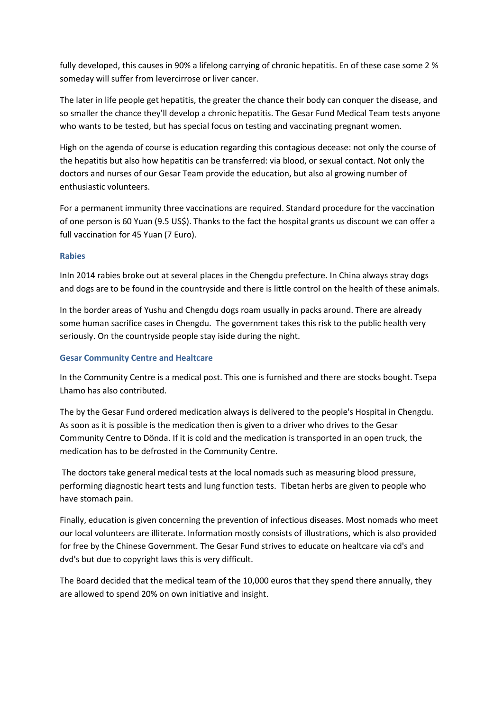fully developed, this causes in 90% a lifelong carrying of chronic hepatitis. En of these case some 2 % someday will suffer from levercirrose or liver cancer.

The later in life people get hepatitis, the greater the chance their body can conquer the disease, and so smaller the chance they'll develop a chronic hepatitis. The Gesar Fund Medical Team tests anyone who wants to be tested, but has special focus on testing and vaccinating pregnant women.

High on the agenda of course is education regarding this contagious decease: not only the course of the hepatitis but also how hepatitis can be transferred: via blood, or sexual contact. Not only the doctors and nurses of our Gesar Team provide the education, but also al growing number of enthusiastic volunteers.

For a permanent immunity three vaccinations are required. Standard procedure for the vaccination of one person is 60 Yuan (9.5 US\$). Thanks to the fact the hospital grants us discount we can offer a full vaccination for 45 Yuan (7 Euro).

### **Rabies**

InIn 2014 rabies broke out at several places in the Chengdu prefecture. In China always stray dogs and dogs are to be found in the countryside and there is little control on the health of these animals.

In the border areas of Yushu and Chengdu dogs roam usually in packs around. There are already some human sacrifice cases in Chengdu. The government takes this risk to the public health very seriously. On the countryside people stay iside during the night.

### **Gesar Community Centre and Healtcare**

In the Community Centre is a medical post. This one is furnished and there are stocks bought. Tsepa Lhamo has also contributed.

The by the Gesar Fund ordered medication always is delivered to the people's Hospital in Chengdu. As soon as it is possible is the medication then is given to a driver who drives to the Gesar Community Centre to Dönda. If it is cold and the medication is transported in an open truck, the medication has to be defrosted in the Community Centre.

 The doctors take general medical tests at the local nomads such as measuring blood pressure, performing diagnostic heart tests and lung function tests. Tibetan herbs are given to people who have stomach pain.

Finally, education is given concerning the prevention of infectious diseases. Most nomads who meet our local volunteers are illiterate. Information mostly consists of illustrations, which is also provided for free by the Chinese Government. The Gesar Fund strives to educate on healtcare via cd's and dvd's but due to copyright laws this is very difficult.

The Board decided that the medical team of the 10,000 euros that they spend there annually, they are allowed to spend 20% on own initiative and insight.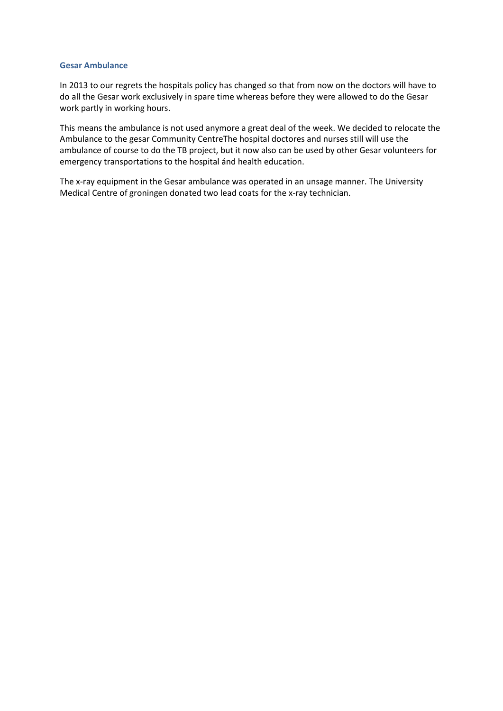#### **Gesar Ambulance**

In 2013 to our regrets the hospitals policy has changed so that from now on the doctors will have to do all the Gesar work exclusively in spare time whereas before they were allowed to do the Gesar work partly in working hours.

This means the ambulance is not used anymore a great deal of the week. We decided to relocate the Ambulance to the gesar Community CentreThe hospital doctores and nurses still will use the ambulance of course to do the TB project, but it now also can be used by other Gesar volunteers for emergency transportations to the hospital ánd health education.

The x-ray equipment in the Gesar ambulance was operated in an unsage manner. The University Medical Centre of groningen donated two lead coats for the x-ray technician.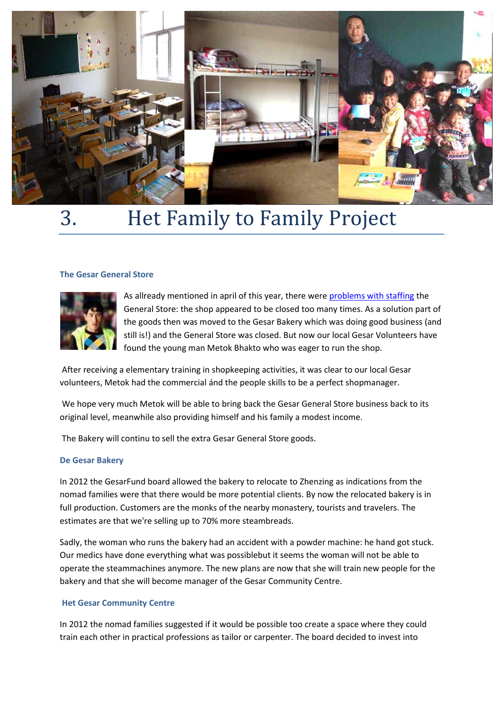

# 3. Het Family to Family Project

#### **The Gesar General Store**



As allready mentioned in april of this year, there wer[e problems with staffing](http://gesarfund.nl/action/news/simplelist?id=585) the General Store: the shop appeared to be closed too many times. As a solution part of the goods then was moved to the Gesar Bakery which was doing good business (and still is!) and the General Store was closed. But now our local Gesar Volunteers have found the young man Metok Bhakto who was eager to run the shop.

 After receiving a elementary training in shopkeeping activities, it was clear to our local Gesar volunteers, Metok had the commercial ánd the people skills to be a perfect shopmanager.

 We hope very much Metok will be able to bring back the Gesar General Store business back to its original level, meanwhile also providing himself and his family a modest income.

The Bakery will continu to sell the extra Gesar General Store goods.

#### **De Gesar Bakery**

In 2012 the GesarFund board allowed the bakery to relocate to Zhenzing as indications from the nomad families were that there would be more potential clients. By now the relocated bakery is in full production. Customers are the monks of the nearby monastery, tourists and travelers. The estimates are that we're selling up to 70% more steambreads.

Sadly, the woman who runs the bakery had an accident with a powder machine: he hand got stuck. Our medics have done everything what was possiblebut it seems the woman will not be able to operate the steammachines anymore. The new plans are now that she will train new people for the bakery and that she will become manager of the Gesar Community Centre.

#### **Het Gesar Community Centre**

In 2012 the nomad families suggested if it would be possible too create a space where they could train each other in practical professions as tailor or carpenter. The board decided to invest into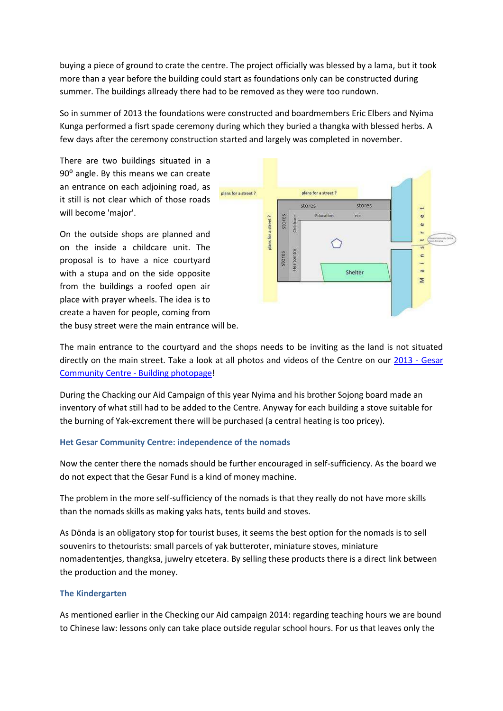buying a piece of ground to crate the centre. The project officially was blessed by a lama, but it took more than a year before the building could start as foundations only can be constructed during summer. The buildings allready there had to be removed as they were too rundown.

So in summer of 2013 the foundations were constructed and boardmembers Eric Elbers and Nyima Kunga performed a fisrt spade ceremony during which they buried a thangka with blessed herbs. A few days after the ceremony construction started and largely was completed in november.

There are two buildings situated in a 90<sup>°</sup> angle. By this means we can create an entrance on each adjoining road, as it still is not clear which of those roads will become 'major'.

On the outside shops are planned and on the inside a childcare unit. The proposal is to have a nice courtyard with a stupa and on the side opposite from the buildings a roofed open air place with prayer wheels. The idea is to create a haven for people, coming from the busy street were the main entrance will be.



The main entrance to the courtyard and the shops needs to be inviting as the land is not situated directly on the main street. Take a look at all photos and videos of the Centre on our [2013 - Gesar](http://www.flickr.com/photos/gesarfund/sets/72157635292205260/)  [Community Centre - Building photopage!](http://www.flickr.com/photos/gesarfund/sets/72157635292205260/)

During the Chacking our Aid Campaign of this year Nyima and his brother Sojong board made an inventory of what still had to be added to the Centre. Anyway for each building a stove suitable for the burning of Yak-excrement there will be purchased (a central heating is too pricey).

### **Het Gesar Community Centre: independence of the nomads**

Now the center there the nomads should be further encouraged in self-sufficiency. As the board we do not expect that the Gesar Fund is a kind of money machine.

The problem in the more self-sufficiency of the nomads is that they really do not have more skills than the nomads skills as making yaks hats, tents build and stoves.

As Dönda is an obligatory stop for tourist buses, it seems the best option for the nomads is to sell souvenirs to thetourists: small parcels of yak butteroter, miniature stoves, miniature nomadententjes, thangksa, juwelry etcetera. By selling these products there is a direct link between the production and the money.

#### **The Kindergarten**

As mentioned earlier in the Checking our Aid campaign 2014: regarding teaching hours we are bound to Chinese law: lessons only can take place outside regular school hours. For us that leaves only the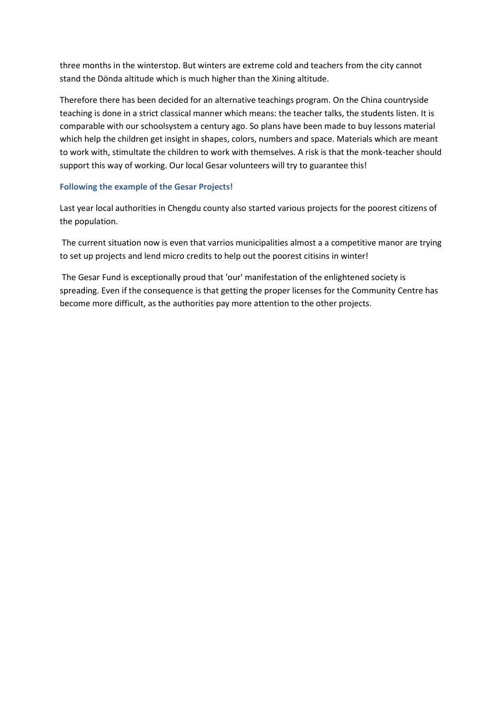three months in the winterstop. But winters are extreme cold and teachers from the city cannot stand the Dönda altitude which is much higher than the Xining altitude.

Therefore there has been decided for an alternative teachings program. On the China countryside teaching is done in a strict classical manner which means: the teacher talks, the students listen. It is comparable with our schoolsystem a century ago. So plans have been made to buy lessons material which help the children get insight in shapes, colors, numbers and space. Materials which are meant to work with, stimultate the children to work with themselves. A risk is that the monk-teacher should support this way of working. Our local Gesar volunteers will try to guarantee this!

### **Following the example of the Gesar Projects!**

Last year local authorities in Chengdu county also started various projects for the poorest citizens of the population.

 The current situation now is even that varrios municipalities almost a a competitive manor are trying to set up projects and lend micro credits to help out the poorest citisins in winter!

 The Gesar Fund is exceptionally proud that 'our' manifestation of the enlightened society is spreading. Even if the consequence is that getting the proper licenses for the Community Centre has become more difficult, as the authorities pay more attention to the other projects.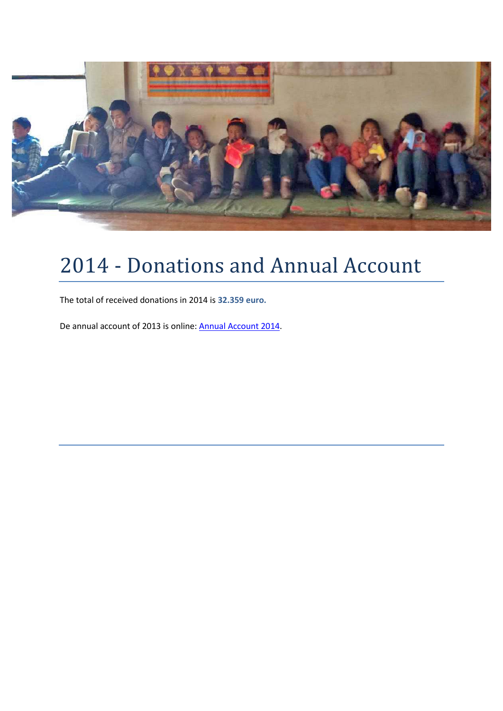

# 2014 - Donations and Annual Account

The total of received donations in 2014 is **32.359 euro.**

De annual account of 2013 is online[: Annual Account 2014.](http://www.gesarfund.nl/dynamic/media/13/Gesar_Fund_-_2013_-_Stichting_Gesar_Fund_Jaarrekening_2013.pdf)